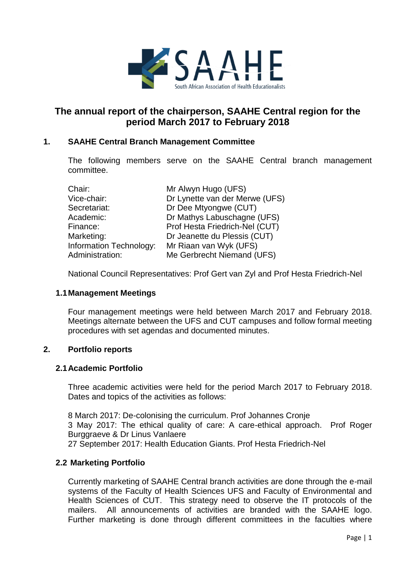

# **The annual report of the chairperson, SAAHE Central region for the period March 2017 to February 2018**

## **1. SAAHE Central Branch Management Committee**

The following members serve on the SAAHE Central branch management committee.

| Chair:                  | Mr Alwyn Hugo (UFS)            |
|-------------------------|--------------------------------|
| Vice-chair:             | Dr Lynette van der Merwe (UFS) |
| Secretariat:            | Dr Dee Mtyongwe (CUT)          |
| Academic:               | Dr Mathys Labuschagne (UFS)    |
| Finance:                | Prof Hesta Friedrich-Nel (CUT) |
| Marketing:              | Dr Jeanette du Plessis (CUT)   |
| Information Technology: | Mr Riaan van Wyk (UFS)         |
| Administration:         | Me Gerbrecht Niemand (UFS)     |

National Council Representatives: Prof Gert van Zyl and Prof Hesta Friedrich-Nel

### **1.1Management Meetings**

Four management meetings were held between March 2017 and February 2018. Meetings alternate between the UFS and CUT campuses and follow formal meeting procedures with set agendas and documented minutes.

### **2. Portfolio reports**

### **2.1Academic Portfolio**

Three academic activities were held for the period March 2017 to February 2018. Dates and topics of the activities as follows:

8 March 2017: De-colonising the curriculum. Prof Johannes Cronje 3 May 2017: The ethical quality of care: A care-ethical approach. Prof Roger Burggraeve & Dr Linus Vanlaere 27 September 2017: Health Education Giants. Prof Hesta Friedrich-Nel

### **2.2 Marketing Portfolio**

Currently marketing of SAAHE Central branch activities are done through the e-mail systems of the Faculty of Health Sciences UFS and Faculty of Environmental and Health Sciences of CUT. This strategy need to observe the IT protocols of the mailers. All announcements of activities are branded with the SAAHE logo. Further marketing is done through different committees in the faculties where